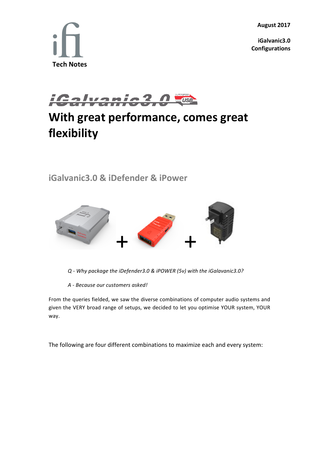**August 2017**

**iGalvanic3.0 Configurations**





## **With great performance, comes great flexibility**

**iGalvanic3.0 & iDefender & iPower**



*Q - Why package the iDefender3.0 & iPOWER (5v) with the iGalavanic3.0?*

*A - Because our customers asked!*

From the queries fielded, we saw the diverse combinations of computer audio systems and given the VERY broad range of setups, we decided to let you optimise YOUR system, YOUR way.

The following are four different combinations to maximize each and every system: